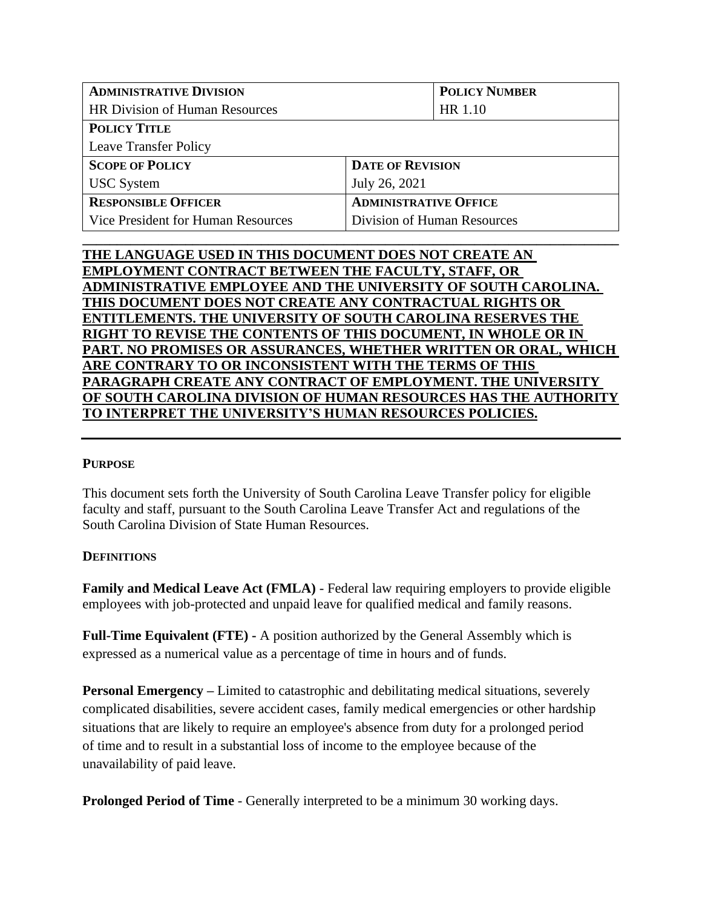| <b>ADMINISTRATIVE DIVISION</b>        |                              | <b>POLICY NUMBER</b> |  |
|---------------------------------------|------------------------------|----------------------|--|
| <b>HR Division of Human Resources</b> |                              | HR 1.10              |  |
| <b>POLICY TITLE</b>                   |                              |                      |  |
| <b>Leave Transfer Policy</b>          |                              |                      |  |
| <b>SCOPE OF POLICY</b>                | <b>DATE OF REVISION</b>      |                      |  |
| <b>USC</b> System                     | July 26, 2021                |                      |  |
| <b>RESPONSIBLE OFFICER</b>            | <b>ADMINISTRATIVE OFFICE</b> |                      |  |
| Vice President for Human Resources    | Division of Human Resources  |                      |  |
|                                       |                              |                      |  |

# **THE LANGUAGE USED IN THIS DOCUMENT DOES NOT CREATE AN EMPLOYMENT CONTRACT BETWEEN THE FACULTY, STAFF, OR ADMINISTRATIVE EMPLOYEE AND THE UNIVERSITY OF SOUTH CAROLINA. THIS DOCUMENT DOES NOT CREATE ANY CONTRACTUAL RIGHTS OR ENTITLEMENTS. THE UNIVERSITY OF SOUTH CAROLINA RESERVES THE RIGHT TO REVISE THE CONTENTS OF THIS DOCUMENT, IN WHOLE OR IN PART. NO PROMISES OR ASSURANCES, WHETHER WRITTEN OR ORAL, WHICH ARE CONTRARY TO OR INCONSISTENT WITH THE TERMS OF THIS PARAGRAPH CREATE ANY CONTRACT OF EMPLOYMENT. THE UNIVERSITY OF SOUTH CAROLINA DIVISION OF HUMAN RESOURCES HAS THE AUTHORITY TO INTERPRET THE UNIVERSITY'S HUMAN RESOURCES POLICIES.**

# **PURPOSE**

This document sets forth the University of South Carolina Leave Transfer policy for eligible faculty and staff, pursuant to the South Carolina Leave Transfer Act and regulations of the South Carolina Division of State Human Resources.

## **DEFINITIONS**

**Family and Medical Leave Act (FMLA)** - Federal law requiring employers to provide eligible employees with job-protected and unpaid leave for qualified medical and family reasons.

**Full-Time Equivalent (FTE) -** A position authorized by the General Assembly which is expressed as a numerical value as a percentage of time in hours and of funds.

**Personal Emergency –** Limited to catastrophic and debilitating medical situations, severely complicated disabilities, severe accident cases, family medical emergencies or other hardship situations that are likely to require an employee's absence from duty for a prolonged period of time and to result in a substantial loss of income to the employee because of the unavailability of paid leave.

**Prolonged Period of Time** - Generally interpreted to be a minimum 30 working days.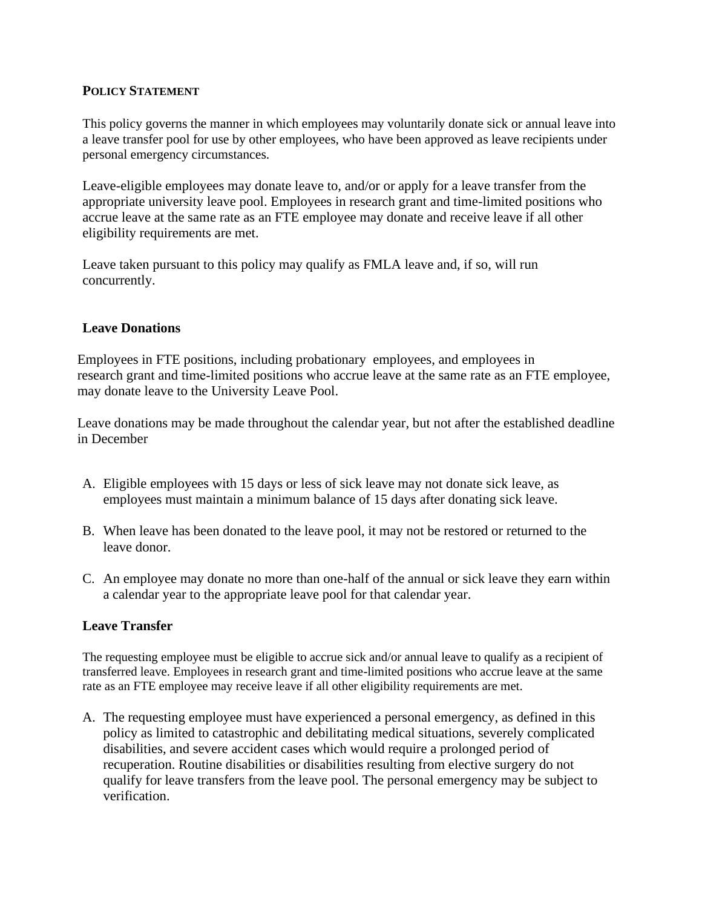## **POLICY STATEMENT**

This policy governs the manner in which employees may voluntarily donate sick or annual leave into a leave transfer pool for use by other employees, who have been approved as leave recipients under personal emergency circumstances.

Leave-eligible employees may donate leave to, and/or or apply for a leave transfer from the appropriate university leave pool. Employees in research grant and time-limited positions who accrue leave at the same rate as an FTE employee may donate and receive leave if all other eligibility requirements are met.

Leave taken pursuant to this policy may qualify as FMLA leave and, if so, will run concurrently.

## **Leave Donations**

Employees in FTE positions, including probationary employees, and employees in research grant and time‐limited positions who accrue leave at the same rate as an FTE employee, may donate leave to the University Leave Pool.

Leave donations may be made throughout the calendar year, but not after the established deadline in December

- A. Eligible employees with 15 days or less of sick leave may not donate sick leave, as employees must maintain a minimum balance of 15 days after donating sick leave.
- B. When leave has been donated to the leave pool, it may not be restored or returned to the leave donor.
- C. An employee may donate no more than one-half of the annual or sick leave they earn within a calendar year to the appropriate leave pool for that calendar year.

## **Leave Transfer**

The requesting employee must be eligible to accrue sick and/or annual leave to qualify as a recipient of transferred leave. Employees in research grant and time-limited positions who accrue leave at the same rate as an FTE employee may receive leave if all other eligibility requirements are met.

A. The requesting employee must have experienced a personal emergency, as defined in this policy as limited to catastrophic and debilitating medical situations, severely complicated disabilities, and severe accident cases which would require a prolonged period of recuperation. Routine disabilities or disabilities resulting from elective surgery do not qualify for leave transfers from the leave pool. The personal emergency may be subject to verification.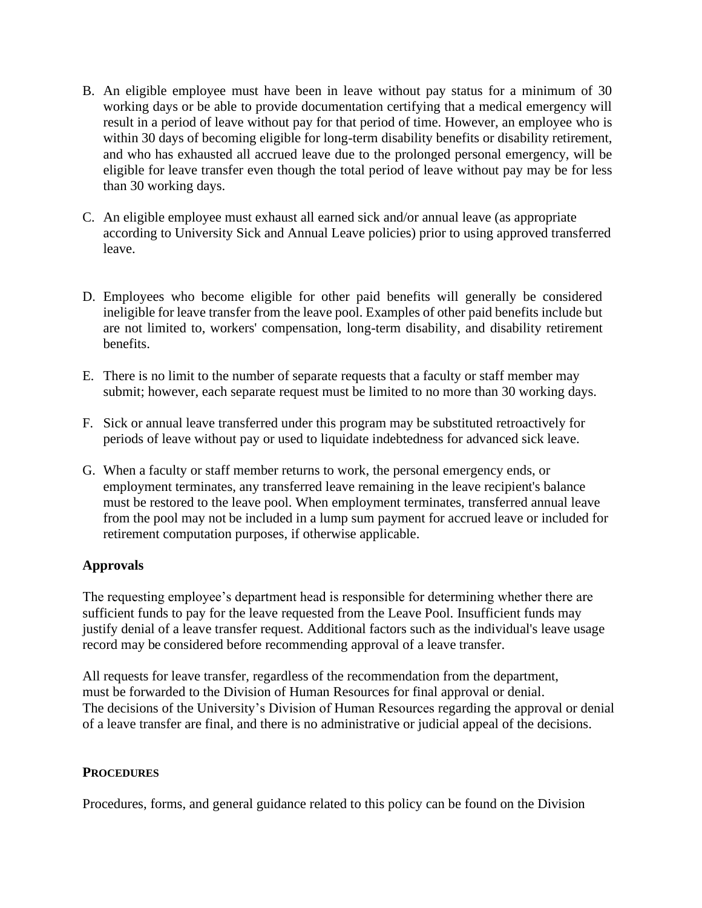- B. An eligible employee must have been in leave without pay status for a minimum of 30 working days or be able to provide documentation certifying that a medical emergency will result in a period of leave without pay for that period of time. However, an employee who is within 30 days of becoming eligible for long-term disability benefits or disability retirement, and who has exhausted all accrued leave due to the prolonged personal emergency, will be eligible for leave transfer even though the total period of leave without pay may be for less than 30 working days.
- C. An eligible employee must exhaust all earned sick and/or annual leave (as appropriate according to University Sick and Annual Leave policies) prior to using approved transferred leave.
- D. Employees who become eligible for other paid benefits will generally be considered ineligible for leave transfer from the leave pool. Examples of other paid benefits include but are not limited to, workers' compensation, long-term disability, and disability retirement benefits.
- E. There is no limit to the number of separate requests that a faculty or staff member may submit; however, each separate request must be limited to no more than 30 working days.
- F. Sick or annual leave transferred under this program may be substituted retroactively for periods of leave without pay or used to liquidate indebtedness for advanced sick leave.
- G. When a faculty or staff member returns to work, the personal emergency ends, or employment terminates, any transferred leave remaining in the leave recipient's balance must be restored to the leave pool. When employment terminates, transferred annual leave from the pool may not be included in a lump sum payment for accrued leave or included for retirement computation purposes, if otherwise applicable.

# **Approvals**

The requesting employee's department head is responsible for determining whether there are sufficient funds to pay for the leave requested from the Leave Pool. Insufficient funds may justify denial of a leave transfer request. Additional factors such as the individual's leave usage record may be considered before recommending approval of a leave transfer.

All requests for leave transfer, regardless of the recommendation from the department, must be forwarded to the Division of Human Resources for final approval or denial. The decisions of the University's Division of Human Resources regarding the approval or denial of a leave transfer are final, and there is no administrative or judicial appeal of the decisions.

## **PROCEDURES**

Procedures, forms, and general guidance related to this policy can be found on the Division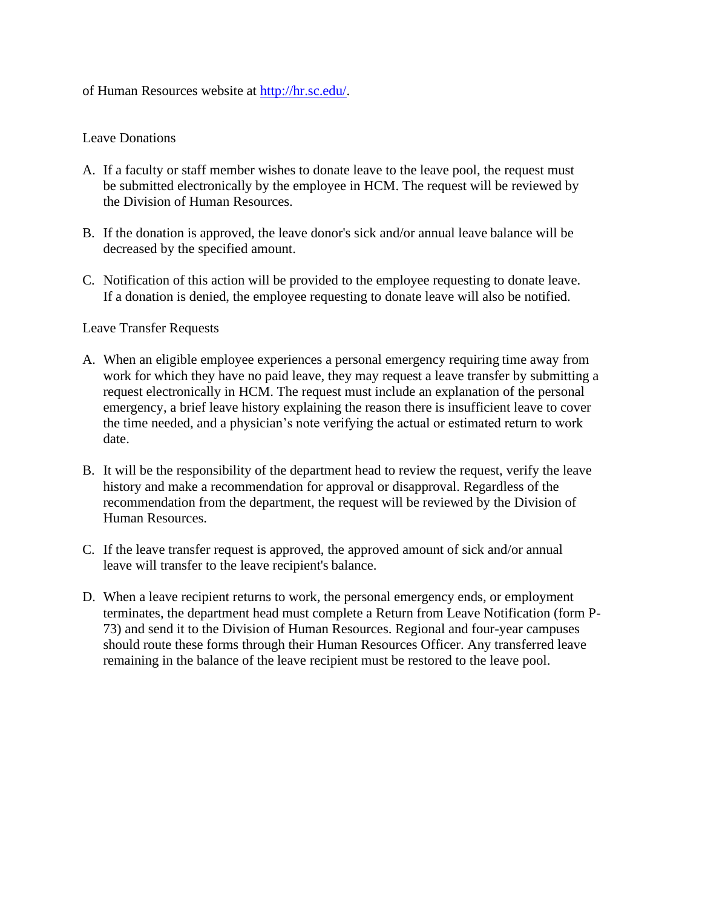of Human Resources website at [http://hr.sc.edu/.](http://hr.sc.edu/)

#### Leave Donations

- A. If a faculty or staff member wishes to donate leave to the leave pool, the request must be submitted electronically by the employee in HCM. The request will be reviewed by the Division of Human Resources.
- B. If the donation is approved, the leave donor's sick and/or annual leave balance will be decreased by the specified amount.
- C. Notification of this action will be provided to the employee requesting to donate leave. If a donation is denied, the employee requesting to donate leave will also be notified.

#### Leave Transfer Requests

- A. When an eligible employee experiences a personal emergency requiring time away from work for which they have no paid leave, they may request a leave transfer by submitting a request electronically in HCM. The request must include an explanation of the personal emergency, a brief leave history explaining the reason there is insufficient leave to cover the time needed, and a physician's note verifying the actual or estimated return to work date.
- B. It will be the responsibility of the department head to review the request, verify the leave history and make a recommendation for approval or disapproval. Regardless of the recommendation from the department, the request will be reviewed by the Division of Human Resources.
- C. If the leave transfer request is approved, the approved amount of sick and/or annual leave will transfer to the leave recipient's balance.
- D. When a leave recipient returns to work, the personal emergency ends, or employment terminates, the department head must complete a Return from Leave Notification (form P-73) and send it to the Division of Human Resources. Regional and four-year campuses should route these forms through their Human Resources Officer. Any transferred leave remaining in the balance of the leave recipient must be restored to the leave pool.